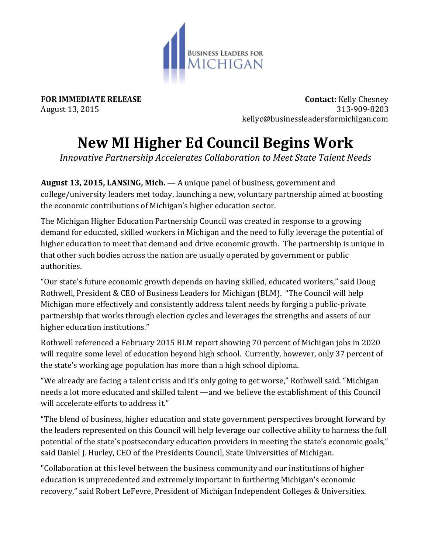

**FOR IMMEDIATE RELEASE CONTACT SEE ASSESSED ASSESSED ASSESSED FOR IMMEDIATE RELEASE** August 13, 2015 313-909-8203 kellyc@businessleadersformichigan.com

## **New MI Higher Ed Council Begins Work**

*Innovative Partnership Accelerates Collaboration to Meet State Talent Needs*

**August 13, 2015, LANSING, Mich.** — A unique panel of business, government and college/university leaders met today, launching a new, voluntary partnership aimed at boosting the economic contributions of Michigan's higher education sector.

The Michigan Higher Education Partnership Council was created in response to a growing demand for educated, skilled workers in Michigan and the need to fully leverage the potential of higher education to meet that demand and drive economic growth. The partnership is unique in that other such bodies across the nation are usually operated by government or public authorities.

"Our state's future economic growth depends on having skilled, educated workers," said Doug Rothwell, President & CEO of Business Leaders for Michigan (BLM). "The Council will help Michigan more effectively and consistently address talent needs by forging a public-private partnership that works through election cycles and leverages the strengths and assets of our higher education institutions."

Rothwell referenced a February 2015 BLM report showing 70 percent of Michigan jobs in 2020 will require some level of education beyond high school. Currently, however, only 37 percent of the state's working age population has more than a high school diploma.

"We already are facing a talent crisis and it's only going to get worse," Rothwell said. "Michigan needs a lot more educated and skilled talent —and we believe the establishment of this Council will accelerate efforts to address it."

"The blend of business, higher education and state government perspectives brought forward by the leaders represented on this Council will help leverage our collective ability to harness the full potential of the state's postsecondary education providers in meeting the state's economic goals," said Daniel J. Hurley, CEO of the Presidents Council, State Universities of Michigan.

"Collaboration at this level between the business community and our institutions of higher education is unprecedented and extremely important in furthering Michigan's economic recovery," said Robert LeFevre, President of Michigan Independent Colleges & Universities.